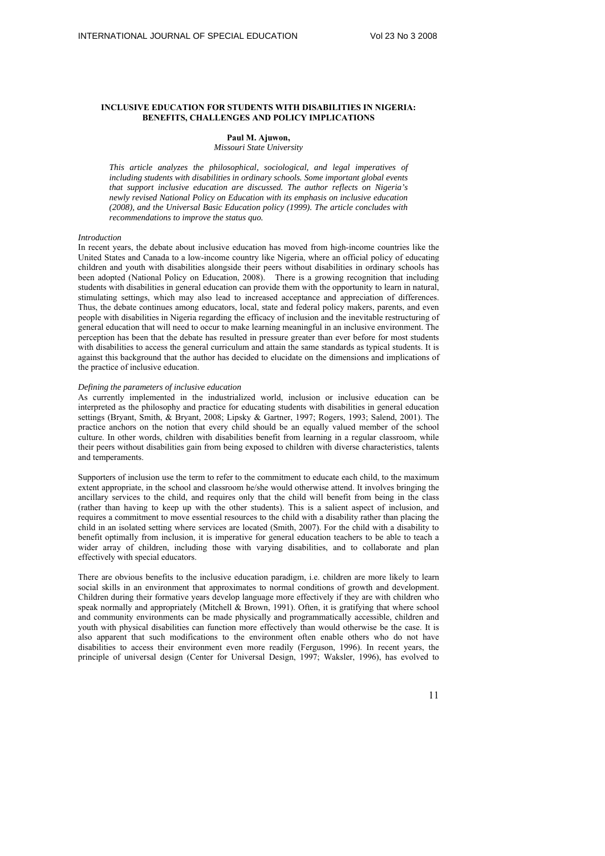## **INCLUSIVE EDUCATION FOR STUDENTS WITH DISABILITIES IN NIGERIA: BENEFITS, CHALLENGES AND POLICY IMPLICATIONS**

# **Paul M. Ajuwon,**

*Missouri State University* 

*This article analyzes the philosophical, sociological, and legal imperatives of including students with disabilities in ordinary schools. Some important global events that support inclusive education are discussed. The author reflects on Nigeria's newly revised National Policy on Education with its emphasis on inclusive education (2008), and the Universal Basic Education policy (1999). The article concludes with recommendations to improve the status quo.* 

## *Introduction*

In recent years, the debate about inclusive education has moved from high-income countries like the United States and Canada to a low-income country like Nigeria, where an official policy of educating children and youth with disabilities alongside their peers without disabilities in ordinary schools has been adopted (National Policy on Education, 2008). There is a growing recognition that including students with disabilities in general education can provide them with the opportunity to learn in natural, stimulating settings, which may also lead to increased acceptance and appreciation of differences. Thus, the debate continues among educators, local, state and federal policy makers, parents, and even people with disabilities in Nigeria regarding the efficacy of inclusion and the inevitable restructuring of general education that will need to occur to make learning meaningful in an inclusive environment. The perception has been that the debate has resulted in pressure greater than ever before for most students with disabilities to access the general curriculum and attain the same standards as typical students. It is against this background that the author has decided to elucidate on the dimensions and implications of the practice of inclusive education.

### *Defining the parameters of inclusive education*

As currently implemented in the industrialized world, inclusion or inclusive education can be interpreted as the philosophy and practice for educating students with disabilities in general education settings (Bryant, Smith, & Bryant, 2008; Lipsky & Gartner, 1997; Rogers, 1993; Salend, 2001). The practice anchors on the notion that every child should be an equally valued member of the school culture. In other words, children with disabilities benefit from learning in a regular classroom, while their peers without disabilities gain from being exposed to children with diverse characteristics, talents and temperaments.

Supporters of inclusion use the term to refer to the commitment to educate each child, to the maximum extent appropriate, in the school and classroom he/she would otherwise attend. It involves bringing the ancillary services to the child, and requires only that the child will benefit from being in the class (rather than having to keep up with the other students). This is a salient aspect of inclusion, and requires a commitment to move essential resources to the child with a disability rather than placing the child in an isolated setting where services are located (Smith, 2007). For the child with a disability to benefit optimally from inclusion, it is imperative for general education teachers to be able to teach a wider array of children, including those with varying disabilities, and to collaborate and plan effectively with special educators.

There are obvious benefits to the inclusive education paradigm, i.e. children are more likely to learn social skills in an environment that approximates to normal conditions of growth and development. Children during their formative years develop language more effectively if they are with children who speak normally and appropriately (Mitchell & Brown, 1991). Often, it is gratifying that where school and community environments can be made physically and programmatically accessible, children and youth with physical disabilities can function more effectively than would otherwise be the case. It is also apparent that such modifications to the environment often enable others who do not have disabilities to access their environment even more readily (Ferguson, 1996). In recent years, the principle of universal design (Center for Universal Design, 1997; Waksler, 1996), has evolved to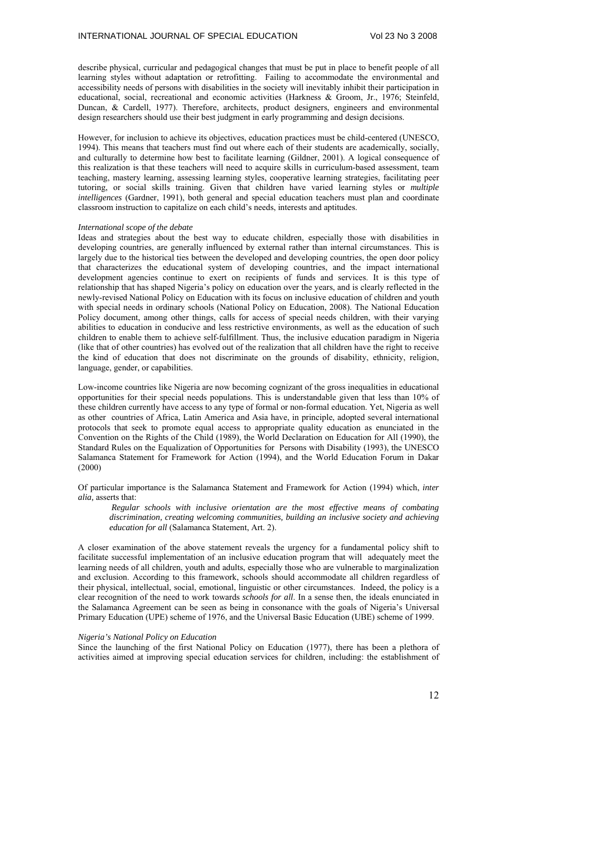describe physical, curricular and pedagogical changes that must be put in place to benefit people of all learning styles without adaptation or retrofitting. Failing to accommodate the environmental and accessibility needs of persons with disabilities in the society will inevitably inhibit their participation in educational, social, recreational and economic activities (Harkness & Groom, Jr., 1976; Steinfeld, Duncan, & Cardell, 1977). Therefore, architects, product designers, engineers and environmental design researchers should use their best judgment in early programming and design decisions.

However, for inclusion to achieve its objectives, education practices must be child-centered (UNESCO, 1994). This means that teachers must find out where each of their students are academically, socially, and culturally to determine how best to facilitate learning (Gildner, 2001). A logical consequence of this realization is that these teachers will need to acquire skills in curriculum-based assessment, team teaching, mastery learning, assessing learning styles, cooperative learning strategies, facilitating peer tutoring, or social skills training. Given that children have varied learning styles or *multiple intelligences* (Gardner, 1991), both general and special education teachers must plan and coordinate classroom instruction to capitalize on each child's needs, interests and aptitudes.

### *International scope of the debate*

Ideas and strategies about the best way to educate children, especially those with disabilities in developing countries, are generally influenced by external rather than internal circumstances. This is largely due to the historical ties between the developed and developing countries, the open door policy that characterizes the educational system of developing countries, and the impact international development agencies continue to exert on recipients of funds and services. It is this type of relationship that has shaped Nigeria's policy on education over the years, and is clearly reflected in the newly-revised National Policy on Education with its focus on inclusive education of children and youth with special needs in ordinary schools (National Policy on Education, 2008). The National Education Policy document, among other things, calls for access of special needs children, with their varying abilities to education in conducive and less restrictive environments, as well as the education of such children to enable them to achieve self-fulfillment. Thus, the inclusive education paradigm in Nigeria (like that of other countries) has evolved out of the realization that all children have the right to receive the kind of education that does not discriminate on the grounds of disability, ethnicity, religion, language, gender, or capabilities.

Low-income countries like Nigeria are now becoming cognizant of the gross inequalities in educational opportunities for their special needs populations. This is understandable given that less than 10% of these children currently have access to any type of formal or non-formal education. Yet, Nigeria as well as other countries of Africa, Latin America and Asia have, in principle, adopted several international protocols that seek to promote equal access to appropriate quality education as enunciated in the Convention on the Rights of the Child (1989), the World Declaration on Education for All (1990), the Standard Rules on the Equalization of Opportunities for Persons with Disability (1993), the UNESCO Salamanca Statement for Framework for Action (1994), and the World Education Forum in Dakar (2000)

Of particular importance is the Salamanca Statement and Framework for Action (1994) which, *inter alia,* asserts that:

 *Regular schools with inclusive orientation are the most effective means of combating discrimination, creating welcoming communities, building an inclusive society and achieving education for all* (Salamanca Statement, Art. 2).

A closer examination of the above statement reveals the urgency for a fundamental policy shift to facilitate successful implementation of an inclusive education program that will adequately meet the learning needs of all children, youth and adults, especially those who are vulnerable to marginalization and exclusion. According to this framework, schools should accommodate all children regardless of their physical, intellectual, social, emotional, linguistic or other circumstances. Indeed, the policy is a clear recognition of the need to work towards *schools for all*. In a sense then, the ideals enunciated in the Salamanca Agreement can be seen as being in consonance with the goals of Nigeria's Universal Primary Education (UPE) scheme of 1976, and the Universal Basic Education (UBE) scheme of 1999.

## *Nigeria's National Policy on Education*

Since the launching of the first National Policy on Education (1977), there has been a plethora of activities aimed at improving special education services for children, including: the establishment of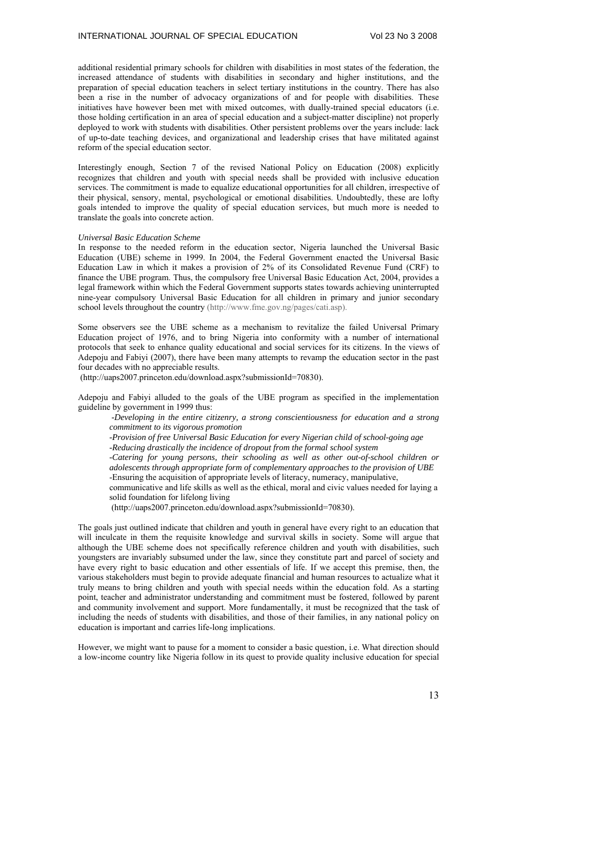additional residential primary schools for children with disabilities in most states of the federation, the increased attendance of students with disabilities in secondary and higher institutions, and the preparation of special education teachers in select tertiary institutions in the country. There has also been a rise in the number of advocacy organizations of and for people with disabilities. These initiatives have however been met with mixed outcomes, with dually-trained special educators (i.e. those holding certification in an area of special education and a subject-matter discipline) not properly deployed to work with students with disabilities. Other persistent problems over the years include: lack of up-to-date teaching devices, and organizational and leadership crises that have militated against reform of the special education sector.

Interestingly enough, Section 7 of the revised National Policy on Education (2008) explicitly recognizes that children and youth with special needs shall be provided with inclusive education services. The commitment is made to equalize educational opportunities for all children, irrespective of their physical, sensory, mental, psychological or emotional disabilities. Undoubtedly, these are lofty goals intended to improve the quality of special education services, but much more is needed to translate the goals into concrete action.

#### *Universal Basic Education Scheme*

In response to the needed reform in the education sector, Nigeria launched the Universal Basic Education (UBE) scheme in 1999. In 2004, the Federal Government enacted the Universal Basic Education Law in which it makes a provision of 2% of its Consolidated Revenue Fund (CRF) to finance the UBE program. Thus, the compulsory free Universal Basic Education Act, 2004, provides a legal framework within which the Federal Government supports states towards achieving uninterrupted nine-year compulsory Universal Basic Education for all children in primary and junior secondary school levels throughout the country (http://www.fme.gov.ng/pages/cati.asp).

Some observers see the UBE scheme as a mechanism to revitalize the failed Universal Primary Education project of 1976, and to bring Nigeria into conformity with a number of international protocols that seek to enhance quality educational and social services for its citizens. In the views of Adepoju and Fabiyi (2007), there have been many attempts to revamp the education sector in the past four decades with no appreciable results.

(http://uaps2007.princeton.edu/download.aspx?submissionId=70830).

Adepoju and Fabiyi alluded to the goals of the UBE program as specified in the implementation guideline by government in 1999 thus:

*-Developing in the entire citizenry, a strong conscientiousness for education and a strong commitment to its vigorous promotion* 

*-Provision of free Universal Basic Education for every Nigerian child of school-going age* 

*-Reducing drastically the incidence of dropout from the formal school system* 

*-Catering for young persons, their schooling as well as other out-of-school children or adolescents through appropriate form of complementary approaches to the provision of UBE*  -Ensuring the acquisition of appropriate levels of literacy, numeracy, manipulative,

communicative and life skills as well as the ethical, moral and civic values needed for laying a solid foundation for lifelong living

(http://uaps2007.princeton.edu/download.aspx?submissionId=70830).

The goals just outlined indicate that children and youth in general have every right to an education that will inculcate in them the requisite knowledge and survival skills in society. Some will argue that although the UBE scheme does not specifically reference children and youth with disabilities, such youngsters are invariably subsumed under the law, since they constitute part and parcel of society and have every right to basic education and other essentials of life. If we accept this premise, then, the various stakeholders must begin to provide adequate financial and human resources to actualize what it truly means to bring children and youth with special needs within the education fold. As a starting point, teacher and administrator understanding and commitment must be fostered, followed by parent and community involvement and support. More fundamentally, it must be recognized that the task of including the needs of students with disabilities, and those of their families, in any national policy on education is important and carries life-long implications.

However, we might want to pause for a moment to consider a basic question, i.e. What direction should a low-income country like Nigeria follow in its quest to provide quality inclusive education for special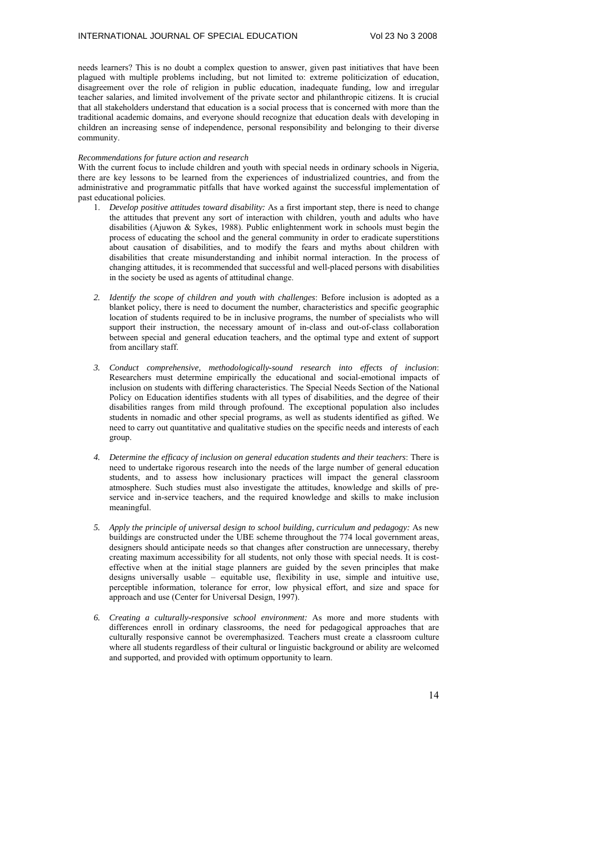needs learners? This is no doubt a complex question to answer, given past initiatives that have been plagued with multiple problems including, but not limited to: extreme politicization of education, disagreement over the role of religion in public education, inadequate funding, low and irregular teacher salaries, and limited involvement of the private sector and philanthropic citizens. It is crucial that all stakeholders understand that education is a social process that is concerned with more than the traditional academic domains, and everyone should recognize that education deals with developing in children an increasing sense of independence, personal responsibility and belonging to their diverse community.

# *Recommendations for future action and research*

With the current focus to include children and youth with special needs in ordinary schools in Nigeria, there are key lessons to be learned from the experiences of industrialized countries, and from the administrative and programmatic pitfalls that have worked against the successful implementation of past educational policies.

- 1. *Develop positive attitudes toward disability:* As a first important step, there is need to change the attitudes that prevent any sort of interaction with children, youth and adults who have disabilities (Ajuwon & Sykes, 1988). Public enlightenment work in schools must begin the process of educating the school and the general community in order to eradicate superstitions about causation of disabilities, and to modify the fears and myths about children with disabilities that create misunderstanding and inhibit normal interaction. In the process of changing attitudes, it is recommended that successful and well-placed persons with disabilities in the society be used as agents of attitudinal change.
- *2. Identify the scope of children and youth with challenges*: Before inclusion is adopted as a blanket policy, there is need to document the number, characteristics and specific geographic location of students required to be in inclusive programs, the number of specialists who will support their instruction, the necessary amount of in-class and out-of-class collaboration between special and general education teachers, and the optimal type and extent of support from ancillary staff.
- *3. Conduct comprehensive, methodologically-sound research into effects of inclusion*: Researchers must determine empirically the educational and social-emotional impacts of inclusion on students with differing characteristics. The Special Needs Section of the National Policy on Education identifies students with all types of disabilities, and the degree of their disabilities ranges from mild through profound. The exceptional population also includes students in nomadic and other special programs, as well as students identified as gifted. We need to carry out quantitative and qualitative studies on the specific needs and interests of each group.
- *4. Determine the efficacy of inclusion on general education students and their teachers*: There is need to undertake rigorous research into the needs of the large number of general education students, and to assess how inclusionary practices will impact the general classroom atmosphere. Such studies must also investigate the attitudes, knowledge and skills of preservice and in-service teachers, and the required knowledge and skills to make inclusion meaningful.
- *5. Apply the principle of universal design to school building, curriculum and pedagogy:* As new buildings are constructed under the UBE scheme throughout the 774 local government areas, designers should anticipate needs so that changes after construction are unnecessary, thereby creating maximum accessibility for all students, not only those with special needs. It is costeffective when at the initial stage planners are guided by the seven principles that make designs universally usable – equitable use, flexibility in use, simple and intuitive use, perceptible information, tolerance for error, low physical effort, and size and space for approach and use (Center for Universal Design, 1997).
- *6. Creating a culturally-responsive school environment:* As more and more students with differences enroll in ordinary classrooms, the need for pedagogical approaches that are culturally responsive cannot be overemphasized. Teachers must create a classroom culture where all students regardless of their cultural or linguistic background or ability are welcomed and supported, and provided with optimum opportunity to learn.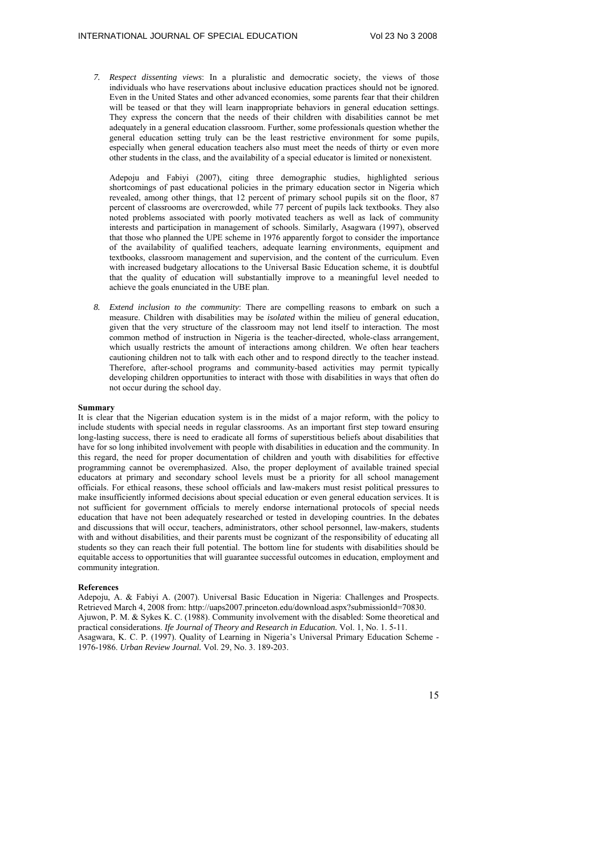*7. Respect dissenting views*: In a pluralistic and democratic society, the views of those individuals who have reservations about inclusive education practices should not be ignored. Even in the United States and other advanced economies, some parents fear that their children will be teased or that they will learn inappropriate behaviors in general education settings. They express the concern that the needs of their children with disabilities cannot be met adequately in a general education classroom. Further, some professionals question whether the general education setting truly can be the least restrictive environment for some pupils, especially when general education teachers also must meet the needs of thirty or even more other students in the class, and the availability of a special educator is limited or nonexistent.

Adepoju and Fabiyi (2007), citing three demographic studies, highlighted serious shortcomings of past educational policies in the primary education sector in Nigeria which revealed, among other things, that 12 percent of primary school pupils sit on the floor, 87 percent of classrooms are overcrowded, while 77 percent of pupils lack textbooks. They also noted problems associated with poorly motivated teachers as well as lack of community interests and participation in management of schools. Similarly, Asagwara (1997), observed that those who planned the UPE scheme in 1976 apparently forgot to consider the importance of the availability of qualified teachers, adequate learning environments, equipment and textbooks, classroom management and supervision, and the content of the curriculum. Even with increased budgetary allocations to the Universal Basic Education scheme, it is doubtful that the quality of education will substantially improve to a meaningful level needed to achieve the goals enunciated in the UBE plan.

*8. Extend inclusion to the community*: There are compelling reasons to embark on such a measure. Children with disabilities may be *isolated* within the milieu of general education, given that the very structure of the classroom may not lend itself to interaction. The most common method of instruction in Nigeria is the teacher-directed, whole-class arrangement, which usually restricts the amount of interactions among children. We often hear teachers cautioning children not to talk with each other and to respond directly to the teacher instead. Therefore, after-school programs and community-based activities may permit typically developing children opportunities to interact with those with disabilities in ways that often do not occur during the school day.

#### **Summary**

It is clear that the Nigerian education system is in the midst of a major reform, with the policy to include students with special needs in regular classrooms. As an important first step toward ensuring long-lasting success, there is need to eradicate all forms of superstitious beliefs about disabilities that have for so long inhibited involvement with people with disabilities in education and the community. In this regard, the need for proper documentation of children and youth with disabilities for effective programming cannot be overemphasized. Also, the proper deployment of available trained special educators at primary and secondary school levels must be a priority for all school management officials. For ethical reasons, these school officials and law-makers must resist political pressures to make insufficiently informed decisions about special education or even general education services. It is not sufficient for government officials to merely endorse international protocols of special needs education that have not been adequately researched or tested in developing countries. In the debates and discussions that will occur, teachers, administrators, other school personnel, law-makers, students with and without disabilities, and their parents must be cognizant of the responsibility of educating all students so they can reach their full potential. The bottom line for students with disabilities should be equitable access to opportunities that will guarantee successful outcomes in education, employment and community integration.

#### **References**

Adepoiu, A. & Fabivi A. (2007). Universal Basic Education in Nigeria: Challenges and Prospects. Retrieved March 4, 2008 from: http://uaps2007.princeton.edu/download.aspx?submissionId=70830. Ajuwon, P. M. & Sykes K. C. (1988). Community involvement with the disabled: Some theoretical and practical considerations. *Ife Journal of Theory and Research in Education.* Vol. 1, No. 1. 5-11. Asagwara, K. C. P. (1997). Quality of Learning in Nigeria's Universal Primary Education Scheme - 1976-1986. *Urban Review Journal.* Vol. 29, No. 3. 189-203.